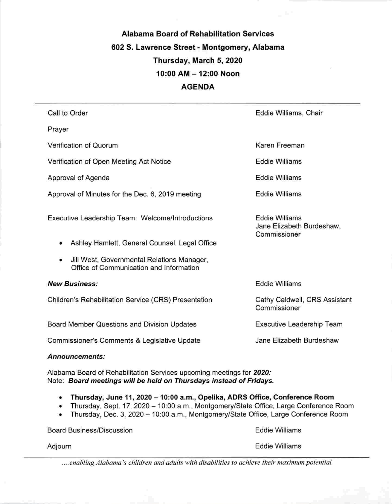# Alabama Board of Rehabilitation Services 602 8. Lawrence Street - Montgomery, Alabama Thursday, March 5, 2020 10:00 AM-12:00 Noon AGENDA

| Call to Order                                                                              | Eddie Williams, Chair                                              |
|--------------------------------------------------------------------------------------------|--------------------------------------------------------------------|
| Prayer                                                                                     |                                                                    |
| Verification of Quorum                                                                     | Karen Freeman                                                      |
| Verification of Open Meeting Act Notice                                                    | <b>Eddie Williams</b>                                              |
| Approval of Agenda                                                                         | Eddie Williams                                                     |
| Approval of Minutes for the Dec. 6, 2019 meeting                                           | <b>Eddie Williams</b>                                              |
| Executive Leadership Team: Welcome/Introductions                                           | <b>Eddie Williams</b><br>Jane Elizabeth Burdeshaw,<br>Commissioner |
| Ashley Hamlett, General Counsel, Legal Office<br>۰                                         |                                                                    |
| Jill West, Governmental Relations Manager,<br>۰<br>Office of Communication and Information |                                                                    |
| <b>New Business:</b>                                                                       | <b>Eddie Williams</b>                                              |
| Children's Rehabilitation Service (CRS) Presentation                                       | Cathy Caldwell, CRS Assistant<br>Commissioner                      |
| Board Member Questions and Division Updates                                                | Executive Leadership Team                                          |
| Commissioner's Comments & Legislative Update                                               | Jane Elizabeth Burdeshaw                                           |

#### Announcements:

Alabama Board of Rehabilitation Services upcoming meetings for 2020: Note: Board meetings will be held on Thursdays instead of Fridays.

- Thursday, June 11, 2020 10:00 a.m., Opelika, ADRS Office, Conference Room
- Thursday, Sept. 17, 2020 10:00 a.m., Montgomery/State Office, Large Conference Room
- Thursday, Dec. 3, 2020 10:00 a.m., Montgomery/State Office, Large Conference Room

Board Business/Discussion Eddie Williams Eddie Williams

....enabling Alabama's children and adults with disabilities to achieve their maximum potential.

#### Adjourn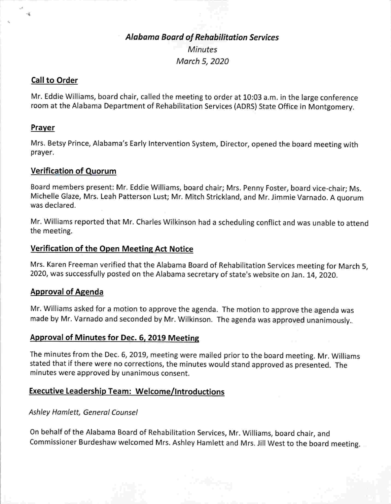## Alabama Board of Rehabilitation Services **Minutes** March 5, 2020

#### Call to Order

Mr. Eddie Williams, board chair, called the meeting to order at 10:03 a.m. in the large conference room at the Alabama Department of Rehabilitation Services (ADRS) State Office in Montgomery.

#### Prayer

Mrs. Betsy Prince, Alabama's Early Intervention System, Director, opened the board meeting with prayer.

### Verification of Quorum

Board members present: Mr. Eddie Williams, board chair; Mrs. Penny Foster, board vice-chair; Ms. Michelle Glaze, Mrs. Leah Patterson Lust; Mr. Mitch Strickland, and Mr. Jimmie Varnado. A quorum was declared.

Mr. Williams reported that Mr. Charles Wilkinson had a scheduling conflict and was unable to attend the meeting.

### Verification of the Open Meeting Act Notice

Mrs. Karen Freeman verified that the Alabama Board of Rehabilitation Services meeting for March 5, 2020, was successfully posted on the Alabama secretary of state's website on Jan. 14, 2020.

### Approval of Agenda

Mr. Williams asked for a motion to approve the agenda. The motion to approve the agenda was made by Mr. Varnado and seconded by Mr. Wilkinson. The agenda was approved unanimously..

#### Approval of Minutes for Dec. 6, 2019 Meeting

The minutes from the Dec. 6, 2019, meeting were mailed prior to the board meeting. Mr. Williams stated that if there were no corrections, the minutes would stand approved as presented. The minutes were approved by unanimous consent.

### Executive Leadership Team: Welcome/Introductions

#### Ashley Hamlett, General Counsel

On behalf of the Alabama Board of Rehabilitation Services, Mr. Williams, board chair, and Commissioner Burdeshaw welcomed Mrs. Ashley Hamlett and Mrs. Jill West to the board meeting.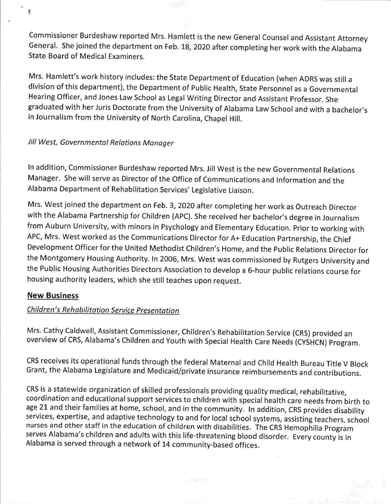Commissioner Burdeshaw reported Mrs. Hamiett is the new General Counsel and Assistant Attorney General. She joined the department on Feb. 18, 2020 after completing her work with the Alabama State Board of Medical Examiners.

Mrs. Hamlett's work history includes: the State Department of Education (when ADRS was still a division of this department), the Department of Public Health, State Personnel as a Governmental Hearing Officer, and Jones Law School as Legal Writing Director and Assistant Professor. She graduated with her Juris Doctorate from the University of Alabama Law School and with a bachelor's in Journalism from the University of North Carolina, Chapel Hill,

### Jill West, Governmental Relations Manager

In addition, Commissioner Burdeshaw reported Mrs. Jill West is the new Governmental Relations Manager. She will serve as Director of the Office of Communications and Information and the Alabama Department of Rehabilitation Services' Legislative Liaison.

Mrs. West joined the department on Feb. 3, 2020 after completing her work as Outreach Director with the Alabama Partnership for Children (APC), She received her bachelor's degree in Journalism from Auburn University, with minors in Psychology and Elementary Education. Prior to working with APC, Mrs. West worked as the Communications Director for A+ Education Partnership, the Chief Development Officer for the United Methodist Children's Home, and the Public Relations Director for the Montgomery Housing Authority, in 2006, Mrs. West was commissioned by Rutgers University and the Public Housing Authorities Directors Association to develop a 6-hour public relations course for housing authority leaders, which she still teaches upon request.

### New Business

ŧ

### Children's Rehabilitation Service Presentation

Mrs. Cathy Caldweil, Assistant Commissioner, Children's Rehabilitation Service (CRS) provided an overview of CRS, Alabama's Children and Youth with Special Health Care Needs (CYSHCN) Program.

CRS receives its operational funds through the federal Maternal and Child Health Bureau Title V Block Grant, the Alabama Legislature and Medicaid/private insurance reimbursements and contributions.

CRS is a statewide organization of skilled professionals providing quality medical, rehabilitative, coordination and educational support services to children with special health care needs from birth to age 21 and their families at home, school, and in the community. In addition, CRS provides disability services, expertise, and adaptive technology to and for local school systems, assisting teachers, school nurses and other staff in the education of children with disabilities. The CRS Hemophilia Program serves Alabama's children and adults with this life-threatening blood disorder. Every county is in Alabama is served through a network of 14 community-based offices.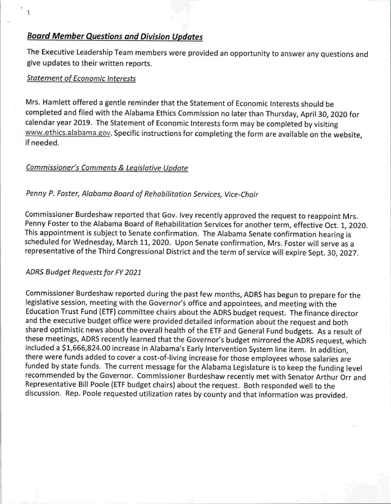## Board Member Questions and Division Updates

The Executive Leadership Team members were provided an opportunity to answer any questions and give updates to their written reports.

### Statement of Economic Interests

Mrs. Hamlett offered a gentle reminder that the Statement of Economic Interests should be completed and filed with the Alabama Ethics Commission no later than Thursday, April 30, 2020 for calendar year 2019. The Statement of Economic Interests form may be completed by visiting www.ethics.alabama.gov. Specific instructions for completing the form are available on the website, if needed.

### Commissioner's Comments & Leaislative Update

### Penny P. Foster, Alabama Board of Rehabilitation Services, Vice-Choir

Commissioner Burdeshaw reported that Gov. Ivey recently approved the request to reappoint Mrs. Penny Foster to the Alabama Board of Rehabilitation Services for another term, effective Oct. 1, 2020. This appointment is subject to Senate confirmation. The Alabama Senate confirmation hearing is scheduled for Wednesday, March 11, 2020. Upon Senate confirmation, Mrs. Foster will serve as a representative of the Third Congressional District and the term of service will expire Sept. 30, 2027.

### ADRS Budget Requests for FY 2021

Commissioner Burdeshaw reported during the past few months, ADRS has begun to prepare for the legislative session, meeting with the Governor's office and appointees, and meeting with the Education Trust Fund (ETF) committee chairs about the ADRS budget request. The finance director and the executive budget office were provided detailed information about the request and both shared optimistic news about the overall health of the ETF and General Fund budgets. As a result of these meetings, ADRS recently learned that the Governor's budget mirrored the ADRS request, which included a \$1,666,824.00 increase in Alabama's Early Intervention System line item. In addition, there were funds added to cover a cost-of-living increase for those employees whose salaries are funded by state funds. The current message for the Alabama Legislature is to keep the funding level recommended by the Governor. Commissioner Burdeshaw recently met with Senator Arthur Orr and Representative Bill Poole (ETF budget chairs) about the request. Both responded well to the discussion. Rep. Poole requested utilization rates by county and that information was provided.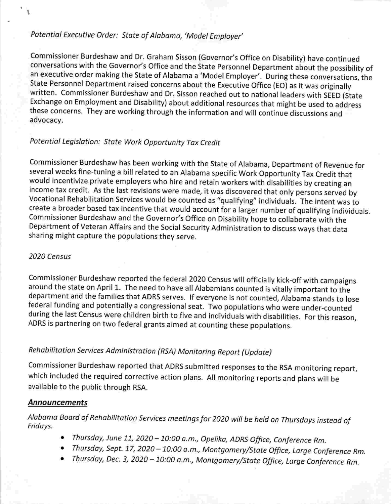## Potential Executive Order: State of Alabama, 'Model Employer'

Commissioner Burdeshaw and Dr. Graham Sisson (Governor's Office on Disability) have continued conversations with the Governor's Office and the State Personnel Department about the possibility of an executive order making the State of Alabama a 'Model Employer'. During these conversations, the State Personnel Department raised concerns about the Executive Office (EO) as it was originally written. Commissioner Burdeshaw and Dr. Sisson reached out to national leaders with SEED (State Exchange on Employment and Disability) about additional resources that might be used to address these concerns. They are working through the information and will continue discussions and advocacy.

### Potential Legislation: State Work Opportunity Tax Credit

Commissioner Burdeshaw has been working with the State of Alabama, Department of Revenue for several weeks fine-tuning a bill related to an Alabama specific Work Opportunity Tax Credit that would incentivize private employers who hire and retain workers with disabilities by creating an income tax credit. As the last revisions were made, it was discovered that only persons served by Vocational Rehabilitation Services would be counted as "qualifying" individuals. The intent was to create a broader based tax incentive that would account for a larger number of qualifying individuals. Commissioner Burdeshaw and the Governor's Office on Disability hope to collaborate with the Department of Veteran Affairs and the Social Security Administration to discuss ways that data sharing might capture the populations they serve.

### 2020 Census

Commissioner Burdeshaw reported the federal 2020 Census will officially kick-off with campaigns around the state on April 1. The need to have all Alabamians counted is vitally important to the department and the families that ADRS serves. If everyone is not counted, Alabama stands to lose federal funding and potentially a congressional seat. Two populations who were under-counted during the last Census were children birth to five and individuals with disabilities. For this reason, ADRS is partnering on two federal grants aimed at counting these populations.

# Rehabilitation Services Administration (RSA) Monitoring Report (Update)

Commissioner Burdeshaw reported that ADRS submitted responses to the RSA monitoring report, which included the required corrective action plans. All monitoring reports and plans will be available to the public through RSA.

### Announcements

Alabama Board of Rehabilitation Services meetings for 2020 will be held on Thursdays instead of Fridays.

- Thursday, June 11, 2020 -10:00 a.m., Opelika, ADRS Office, Conference Rm.
- Thursday, Sept. 17, 2020 10:00 a.m., Montgomery/State Office, Large Conference Rm.
- Thursday, Dec. 3, 2020 -10:00 a.m., Montgomery/State Office, Large Conference Rm.